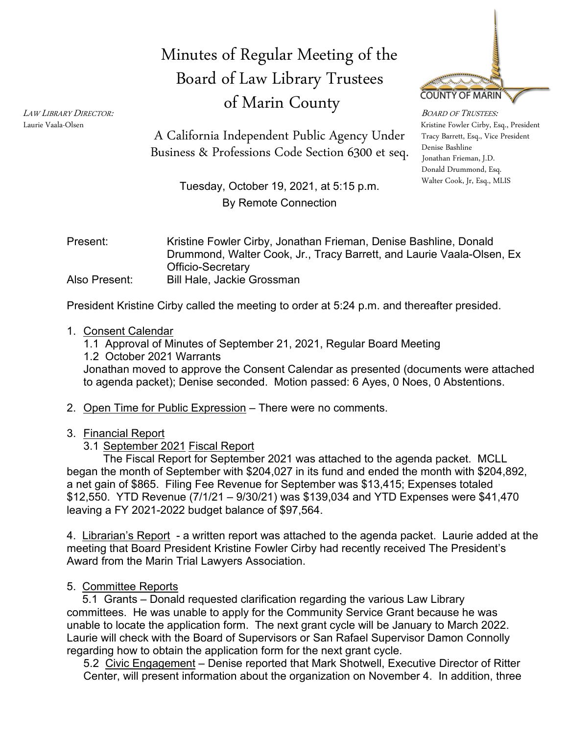# Minutes of Regular Meeting of the Board of Law Library Trustees of Marin County



LAW LIBRARY DIRECTOR:<br>Laurie Vaala-Olsen Kristine Fowler Cirby, Esq., President Tracy Barrett, Esq., Vice President Denise Bashline Donald Drummond, Esq. Walter Cook, Jr, Esq., MLIS

Business & Professions Code Section 6300 et seq. Denise Bashline A California Independent Public Agency Under

> Tuesday, October 19, 2021, at 5:15 p.m. By Remote Connection

Present: Kristine Fowler Cirby, Jonathan Frieman, Denise Bashline, Donald Drummond, Walter Cook, Jr., Tracy Barrett, and Laurie Vaala-Olsen, Ex Officio-Secretary Also Present: Bill Hale, Jackie Grossman

President Kristine Cirby called the meeting to order at 5:24 p.m. and thereafter presided.

#### 1. Consent Calendar

- 1.1 Approval of Minutes of September 21, 2021, Regular Board Meeting
- 1.2 October 2021 Warrants

Jonathan moved to approve the Consent Calendar as presented (documents were attached to agenda packet); Denise seconded. Motion passed: 6 Ayes, 0 Noes, 0 Abstentions.

- 2. Open Time for Public Expression There were no comments.
- 3. Financial Report
	- 3.1 September 2021 Fiscal Report

The Fiscal Report for September 2021 was attached to the agenda packet. MCLL began the month of September with \$204,027 in its fund and ended the month with \$204,892, a net gain of \$865. Filing Fee Revenue for September was \$13,415; Expenses totaled \$12,550. YTD Revenue (7/1/21 – 9/30/21) was \$139,034 and YTD Expenses were \$41,470 leaving a FY 2021-2022 budget balance of \$97,564.

4. Librarian's Report - a written report was attached to the agenda packet. Laurie added at the meeting that Board President Kristine Fowler Cirby had recently received The President's Award from the Marin Trial Lawyers Association.

5. Committee Reports

 5.1 Grants – Donald requested clarification regarding the various Law Library committees. He was unable to apply for the Community Service Grant because he was unable to locate the application form. The next grant cycle will be January to March 2022. Laurie will check with the Board of Supervisors or San Rafael Supervisor Damon Connolly regarding how to obtain the application form for the next grant cycle.

5.2 Civic Engagement – Denise reported that Mark Shotwell, Executive Director of Ritter Center, will present information about the organization on November 4. In addition, three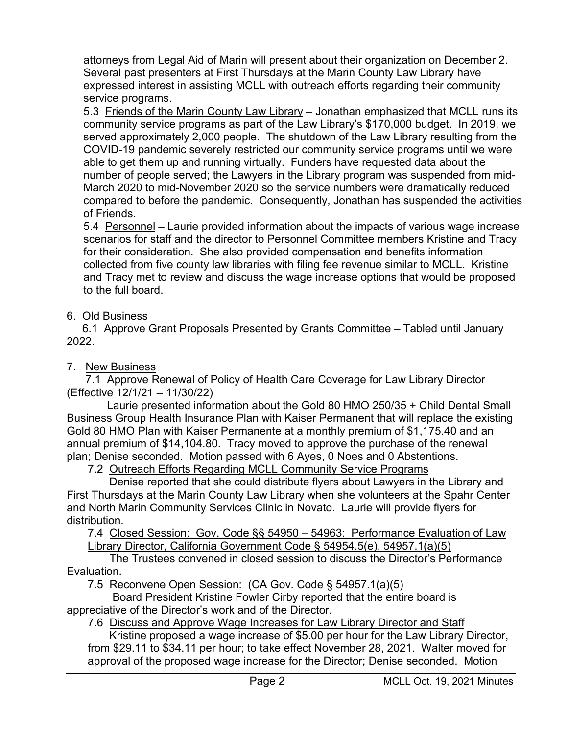attorneys from Legal Aid of Marin will present about their organization on December 2. Several past presenters at First Thursdays at the Marin County Law Library have expressed interest in assisting MCLL with outreach efforts regarding their community service programs.

5.3 Friends of the Marin County Law Library – Jonathan emphasized that MCLL runs its community service programs as part of the Law Library's \$170,000 budget. In 2019, we served approximately 2,000 people. The shutdown of the Law Library resulting from the COVID-19 pandemic severely restricted our community service programs until we were able to get them up and running virtually. Funders have requested data about the number of people served; the Lawyers in the Library program was suspended from mid-March 2020 to mid-November 2020 so the service numbers were dramatically reduced compared to before the pandemic. Consequently, Jonathan has suspended the activities of Friends.

5.4 Personnel – Laurie provided information about the impacts of various wage increase scenarios for staff and the director to Personnel Committee members Kristine and Tracy for their consideration. She also provided compensation and benefits information collected from five county law libraries with filing fee revenue similar to MCLL. Kristine and Tracy met to review and discuss the wage increase options that would be proposed to the full board.

### 6. Old Business

 6.1 Approve Grant Proposals Presented by Grants Committee – Tabled until January 2022.

## 7. New Business

 7.1 Approve Renewal of Policy of Health Care Coverage for Law Library Director (Effective 12/1/21 – 11/30/22)

 Laurie presented information about the Gold 80 HMO 250/35 + Child Dental Small Business Group Health Insurance Plan with Kaiser Permanent that will replace the existing Gold 80 HMO Plan with Kaiser Permanente at a monthly premium of \$1,175.40 and an annual premium of \$14,104.80. Tracy moved to approve the purchase of the renewal plan; Denise seconded. Motion passed with 6 Ayes, 0 Noes and 0 Abstentions.

7.2 Outreach Efforts Regarding MCLL Community Service Programs

 Denise reported that she could distribute flyers about Lawyers in the Library and First Thursdays at the Marin County Law Library when she volunteers at the Spahr Center and North Marin Community Services Clinic in Novato. Laurie will provide flyers for distribution.

7.4 Closed Session: Gov. Code §§ 54950 – 54963: Performance Evaluation of Law Library Director, California Government Code § 54954.5(e), 54957.1(a)(5)

 The Trustees convened in closed session to discuss the Director's Performance Evaluation.

7.5 Reconvene Open Session: (CA Gov. Code § 54957.1(a)(5)

 Board President Kristine Fowler Cirby reported that the entire board is appreciative of the Director's work and of the Director.

7.6 Discuss and Approve Wage Increases for Law Library Director and Staff

 Kristine proposed a wage increase of \$5.00 per hour for the Law Library Director, from \$29.11 to \$34.11 per hour; to take effect November 28, 2021. Walter moved for approval of the proposed wage increase for the Director; Denise seconded. Motion